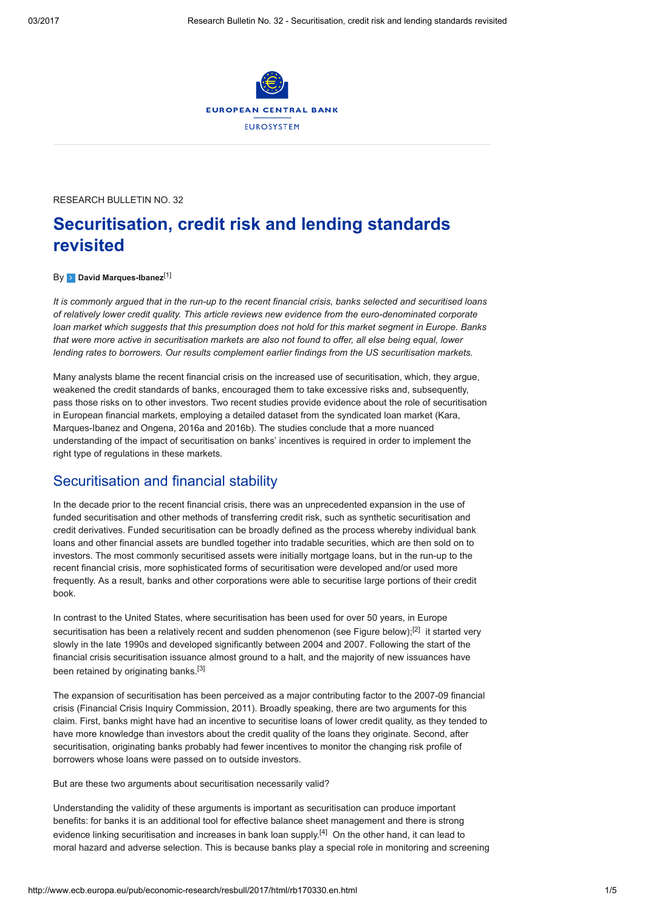

RESEARCH BULLETIN NO. 32

# Securitisation, credit risk and lending standards revisited

### By **[David Marques-Ibanez](http://www.ecb.europa.eu/pub/research/authors/profiles/david-marques-ibanez.en.html)**<sup>[\[1\]](#page-3-0)</sup>

It is commonly argued that in the run-up to the recent financial crisis, banks selected and securitised loans of relatively lower credit quality. This article reviews new evidence from the euro-denominated corporate loan market which suggests that this presumption does not hold for this market segment in Europe. Banks that were more active in securitisation markets are also not found to offer, all else being equal, lower lending rates to borrowers. Our results complement earlier findings from the US securitisation markets.

Many analysts blame the recent financial crisis on the increased use of securitisation, which, they argue, weakened the credit standards of banks, encouraged them to take excessive risks and, subsequently, pass those risks on to other investors. Two recent studies provide evidence about the role of securitisation in European financial markets, employing a detailed dataset from the syndicated loan market (Kara, Marques-Ibanez and Ongena, 2016a and 2016b). The studies conclude that a more nuanced understanding of the impact of securitisation on banks' incentives is required in order to implement the right type of regulations in these markets.

### Securitisation and financial stability

In the decade prior to the recent financial crisis, there was an unprecedented expansion in the use of funded securitisation and other methods of transferring credit risk, such as synthetic securitisation and credit derivatives. Funded securitisation can be broadly defined as the process whereby individual bank loans and other financial assets are bundled together into tradable securities, which are then sold on to investors. The most commonly securitised assets were initially mortgage loans, but in the run-up to the recent financial crisis, more sophisticated forms of securitisation were developed and/or used more frequently. As a result, banks and other corporations were able to securitise large portions of their credit book.

In contrast to the United States, where securitisation has been used for over 50 years, in Europe securitisation has been a relatively recent and sudden phenomenon (see Figure below);<sup>[[2\]](#page-3-1)</sup> it started very slowly in the late 1990s and developed significantly between 2004 and 2007. Following the start of the financial crisis securitisation issuance almost ground to a halt, and the majority of new issuances have been retained by originating banks.<sup>[\[3\]](#page-3-2)</sup>

The expansion of securitisation has been perceived as a major contributing factor to the 2007-09 financial crisis (Financial Crisis Inquiry Commission, 2011). Broadly speaking, there are two arguments for this claim. First, banks might have had an incentive to securitise loans of lower credit quality, as they tended to have more knowledge than investors about the credit quality of the loans they originate. Second, after securitisation, originating banks probably had fewer incentives to monitor the changing risk profile of borrowers whose loans were passed on to outside investors.

But are these two arguments about securitisation necessarily valid?

Understanding the validity of these arguments is important as securitisation can produce important benefits: for banks it is an additional tool for effective balance sheet management and there is strong evidence linking securitisation and increases in bank loan supply.<sup>[\[4\]](#page-3-3)</sup> On the other hand, it can lead to moral hazard and adverse selection. This is because banks play a special role in monitoring and screening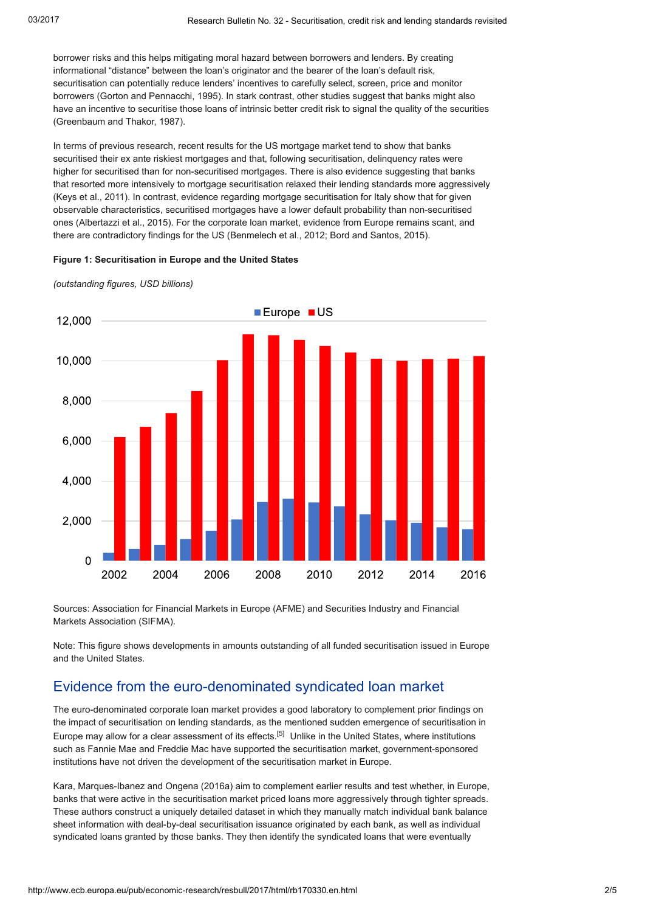borrower risks and this helps mitigating moral hazard between borrowers and lenders. By creating informational "distance" between the loan's originator and the bearer of the loan's default risk, securitisation can potentially reduce lenders' incentives to carefully select, screen, price and monitor borrowers (Gorton and Pennacchi, 1995). In stark contrast, other studies suggest that banks might also have an incentive to securitise those loans of intrinsic better credit risk to signal the quality of the securities (Greenbaum and Thakor, 1987).

In terms of previous research, recent results for the US mortgage market tend to show that banks securitised their ex ante riskiest mortgages and that, following securitisation, delinquency rates were higher for securitised than for non-securitised mortgages. There is also evidence suggesting that banks that resorted more intensively to mortgage securitisation relaxed their lending standards more aggressively (Keys et al., 2011). In contrast, evidence regarding mortgage securitisation for Italy show that for given observable characteristics, securitised mortgages have a lower default probability than non-securitised ones (Albertazzi et al., 2015). For the corporate loan market, evidence from Europe remains scant, and there are contradictory findings for the US (Benmelech et al., 2012; Bord and Santos, 2015).

### Figure 1: Securitisation in Europe and the United States

(outstanding figures, USD billions)



Sources: Association for Financial Markets in Europe (AFME) and Securities Industry and Financial Markets Association (SIFMA).

Note: This figure shows developments in amounts outstanding of all funded securitisation issued in Europe and the United States.

# Evidence from the euro-denominated syndicated loan market

The euro-denominated corporate loan market provides a good laboratory to complement prior findings on the impact of securitisation on lending standards, as the mentioned sudden emergence of securitisation in Europe may allow for a clear assessment of its effects.[[5](#page-3-4)] Unlike in the United States, where institutions such as Fannie Mae and Freddie Mac have supported the securitisation market, government-sponsored institutions have not driven the development of the securitisation market in Europe.

Kara, Marques-Ibanez and Ongena (2016a) aim to complement earlier results and test whether, in Europe, banks that were active in the securitisation market priced loans more aggressively through tighter spreads. These authors construct a uniquely detailed dataset in which they manually match individual bank balance sheet information with deal-by-deal securitisation issuance originated by each bank, as well as individual syndicated loans granted by those banks. They then identify the syndicated loans that were eventually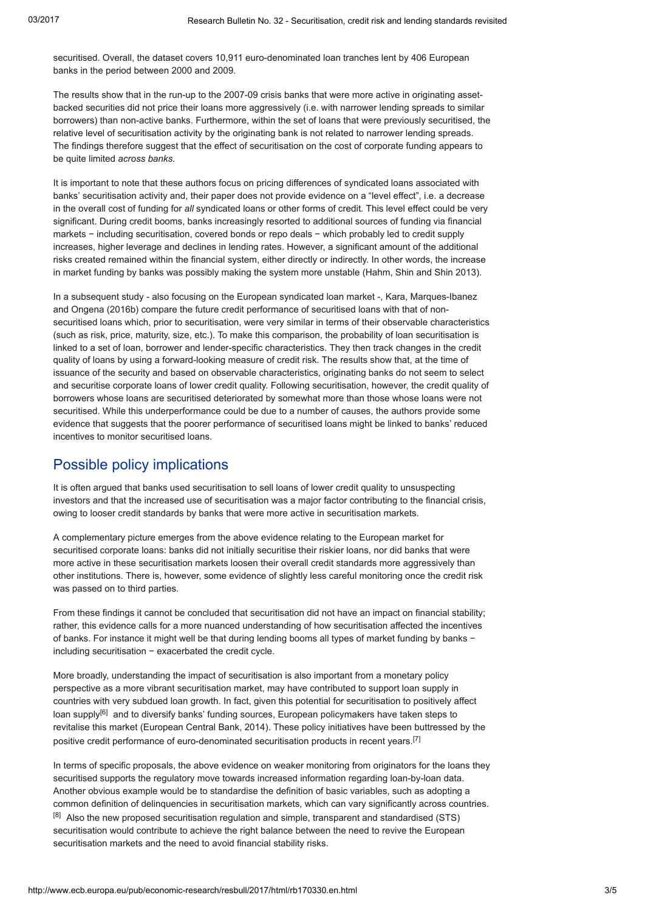securitised. Overall, the dataset covers 10,911 euro-denominated loan tranches lent by 406 European banks in the period between 2000 and 2009.

The results show that in the run-up to the 2007-09 crisis banks that were more active in originating assetbacked securities did not price their loans more aggressively (i.e. with narrower lending spreads to similar borrowers) than non-active banks. Furthermore, within the set of loans that were previously securitised, the relative level of securitisation activity by the originating bank is not related to narrower lending spreads. The findings therefore suggest that the effect of securitisation on the cost of corporate funding appears to be quite limited across banks.

It is important to note that these authors focus on pricing differences of syndicated loans associated with banks' securitisation activity and, their paper does not provide evidence on a "level effect", i.e. a decrease in the overall cost of funding for all syndicated loans or other forms of credit. This level effect could be very significant. During credit booms, banks increasingly resorted to additional sources of funding via financial markets − including securitisation, covered bonds or repo deals – which probably led to credit supply increases, higher leverage and declines in lending rates. However, a significant amount of the additional risks created remained within the financial system, either directly or indirectly. In other words, the increase in market funding by banks was possibly making the system more unstable (Hahm, Shin and Shin 2013).

In a subsequent study - also focusing on the European syndicated loan market -, Kara, Marques-Ibanez and Ongena (2016b) compare the future credit performance of securitised loans with that of nonsecuritised loans which, prior to securitisation, were very similar in terms of their observable characteristics (such as risk, price, maturity, size, etc.). To make this comparison, the probability of loan securitisation is linked to a set of loan, borrower and lender-specific characteristics. They then track changes in the credit quality of loans by using a forward-looking measure of credit risk. The results show that, at the time of issuance of the security and based on observable characteristics, originating banks do not seem to select and securitise corporate loans of lower credit quality. Following securitisation, however, the credit quality of borrowers whose loans are securitised deteriorated by somewhat more than those whose loans were not securitised. While this underperformance could be due to a number of causes, the authors provide some evidence that suggests that the poorer performance of securitised loans might be linked to banks' reduced incentives to monitor securitised loans.

# Possible policy implications

It is often argued that banks used securitisation to sell loans of lower credit quality to unsuspecting investors and that the increased use of securitisation was a major factor contributing to the financial crisis, owing to looser credit standards by banks that were more active in securitisation markets.

A complementary picture emerges from the above evidence relating to the European market for securitised corporate loans: banks did not initially securitise their riskier loans, nor did banks that were more active in these securitisation markets loosen their overall credit standards more aggressively than other institutions. There is, however, some evidence of slightly less careful monitoring once the credit risk was passed on to third parties.

From these findings it cannot be concluded that securitisation did not have an impact on financial stability; rather, this evidence calls for a more nuanced understanding of how securitisation affected the incentives of banks. For instance it might well be that during lending booms all types of market funding by banks − including securitisation − exacerbated the credit cycle.

More broadly, understanding the impact of securitisation is also important from a monetary policy perspective as a more vibrant securitisation market, may have contributed to support loan supply in countries with very subdued loan growth. In fact, given this potential for securitisation to positively affect loan supply<sup>[\[6\]](#page-3-5)</sup> and to diversify banks' funding sources, European policymakers have taken steps to revitalise this market (European Central Bank, 2014). These policy initiatives have been buttressed by the positive credit performance of euro-denominated securitisation products in recent years.<sup>[[7\]](#page-4-0)</sup>

In terms of specific proposals, the above evidence on weaker monitoring from originators for the loans they securitised supports the regulatory move towards increased information regarding loan-by-loan data. Another obvious example would be to standardise the definition of basic variables, such as adopting a common definition of delinquencies in securitisation markets, which can vary significantly across countries.  $[8]$  $[8]$  Also the new proposed securitisation regulation and simple, transparent and standardised (STS) securitisation would contribute to achieve the right balance between the need to revive the European securitisation markets and the need to avoid financial stability risks.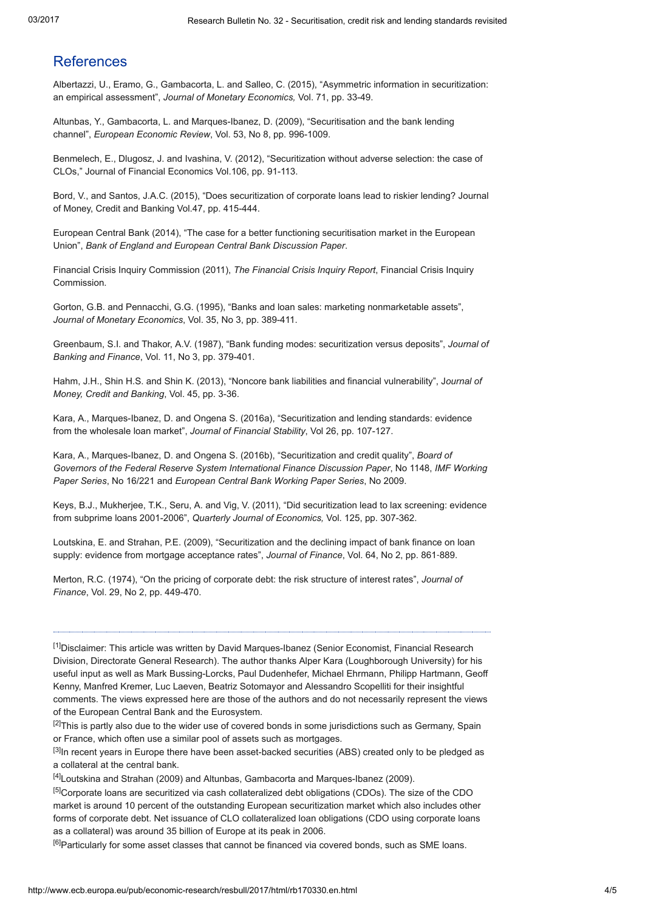### References

Albertazzi, U., Eramo, G., Gambacorta, L. and Salleo, C. (2015), "Asymmetric information in securitization: an empirical assessment", Journal of Monetary Economics, Vol. 71, pp. 33-49.

Altunbas, Y., Gambacorta, L. and Marques-Ibanez, D. (2009), "Securitisation and the bank lending channel", European Economic Review, Vol. 53, No 8, pp. 996-1009.

Benmelech, E., Dlugosz, J. and Ivashina, V. (2012), "Securitization without adverse selection: the case of CLOs," Journal of Financial Economics Vol.106, pp. 91-113.

Bord, V., and Santos, J.A.C. (2015), "Does securitization of corporate loans lead to riskier lending? Journal of Money, Credit and Banking Vol.47, pp. 415-444.

European Central Bank (2014), "The case for a better functioning securitisation market in the European Union", Bank of England and European Central Bank Discussion Paper.

Financial Crisis Inquiry Commission (2011), The Financial Crisis Inquiry Report, Financial Crisis Inquiry Commission.

Gorton, G.B. and Pennacchi, G.G. (1995), "Banks and loan sales: marketing nonmarketable assets", Journal of Monetary Economics, Vol. 35, No 3, pp. 389-411.

Greenbaum, S.I. and Thakor, A.V. (1987), "Bank funding modes: securitization versus deposits", Journal of Banking and Finance, Vol. 11, No 3, pp. 379-401.

Hahm, J.H., Shin H.S. and Shin K. (2013), "Noncore bank liabilities and financial vulnerability", Journal of Money, Credit and Banking, Vol. 45, pp. 3-36.

Kara, A., Marques-Ibanez, D. and Ongena S. (2016a), "Securitization and lending standards: evidence from the wholesale loan market", Journal of Financial Stability, Vol 26, pp. 107-127.

Kara, A., Marques-Ibanez, D. and Ongena S. (2016b), "Securitization and credit quality", Board of Governors of the Federal Reserve System International Finance Discussion Paper, No 1148, IMF Working Paper Series, No 16/221 and European Central Bank Working Paper Series, No 2009.

Keys, B.J., Mukherjee, T.K., Seru, A. and Vig, V. (2011), "Did securitization lead to lax screening: evidence from subprime loans 2001-2006", Quarterly Journal of Economics, Vol. 125, pp. 307-362.

Loutskina, E. and Strahan, P.E. (2009), "Securitization and the declining impact of bank finance on loan supply: evidence from mortgage acceptance rates", Journal of Finance, Vol. 64, No 2, pp. 861-889.

Merton, R.C. (1974), "On the pricing of corporate debt: the risk structure of interest rates", Journal of Finance, Vol. 29, No 2, pp. 449-470.

<span id="page-3-0"></span>[1]Disclaimer: This article was written by David Marques-Ibanez (Senior Economist, Financial Research Division, Directorate General Research). The author thanks Alper Kara (Loughborough University) for his useful input as well as Mark Bussing-Lorcks, Paul Dudenhefer, Michael Ehrmann, Philipp Hartmann, Geoff Kenny, Manfred Kremer, Luc Laeven, Beatriz Sotomayor and Alessandro Scopelliti for their insightful comments. The views expressed here are those of the authors and do not necessarily represent the views of the European Central Bank and the Eurosystem.

<span id="page-3-1"></span><sup>[2]</sup>This is partly also due to the wider use of covered bonds in some jurisdictions such as Germany, Spain or France, which often use a similar pool of assets such as mortgages.

<span id="page-3-2"></span>[3]In recent years in Europe there have been asset-backed securities (ABS) created only to be pledged as a collateral at the central bank.

<span id="page-3-3"></span>[4]Loutskina and Strahan (2009) and Altunbas, Gambacorta and Marques-Ibanez (2009).

<span id="page-3-4"></span><sup>[5]</sup>Corporate loans are securitized via cash collateralized debt obligations (CDOs). The size of the CDO market is around 10 percent of the outstanding European securitization market which also includes other forms of corporate debt. Net issuance of CLO collateralized loan obligations (CDO using corporate loans as a collateral) was around 35 billion of Europe at its peak in 2006.

<span id="page-3-5"></span><sup>[6]</sup>Particularly for some asset classes that cannot be financed via covered bonds, such as SME loans.